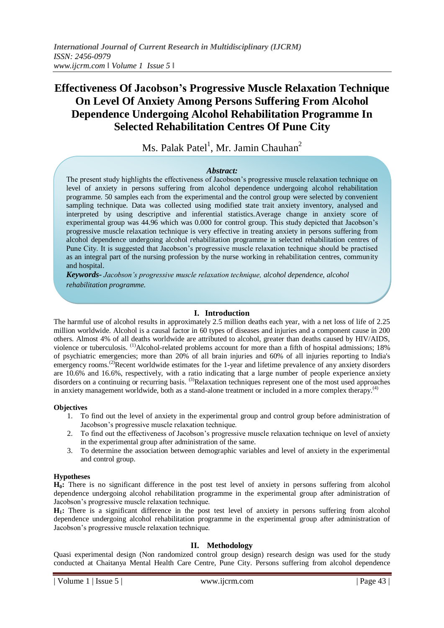# **Effectiveness Of Jacobson's Progressive Muscle Relaxation Technique On Level Of Anxiety Among Persons Suffering From Alcohol Dependence Undergoing Alcohol Rehabilitation Programme In Selected Rehabilitation Centres Of Pune City**

Ms. Palak Patel<sup>1</sup>, Mr. Jamin Chauhan<sup>2</sup>

### *Abstract:*

The present study highlights the effectiveness of Jacobson's progressive muscle relaxation technique on level of anxiety in persons suffering from alcohol dependence undergoing alcohol rehabilitation programme. 50 samples each from the experimental and the control group were selected by convenient sampling technique. Data was collected using modified state trait anxiety inventory, analysed and interpreted by using descriptive and inferential statistics.Average change in anxiety score of experimental group was 44.96 which was 0.000 for control group. This study depicted that Jacobson's progressive muscle relaxation technique is very effective in treating anxiety in persons suffering from alcohol dependence undergoing alcohol rehabilitation programme in selected rehabilitation centres of Pune City. It is suggested that Jacobson's progressive muscle relaxation technique should be practised as an integral part of the nursing profession by the nurse working in rehabilitation centres, community and hospital.

*Keywords- Jacobson's progressive muscle relaxation technique, alcohol dependence, alcohol rehabilitation programme.*

## **I. Introduction**

The harmful use of alcohol results in approximately 2.5 million deaths each year, with a net loss of life of 2.25 million worldwide. Alcohol is a causal factor in 60 types of diseases and injuries and a component cause in 200 others. Almost 4% of all deaths worldwide are attributed to alcohol, greater than deaths caused by HIV/AIDS, violence or tuberculosis. <sup>(1)</sup>Alcohol-related problems account for more than a fifth of hospital admissions; 18% of psychiatric emergencies; more than 20% of all brain injuries and 60% of all injuries reporting to India's emergency rooms.<sup>(2)</sup>Recent worldwide estimates for the 1-year and lifetime prevalence of any anxiety disorders are 10.6% and 16.6%, respectively, with a ratio indicating that a large number of people experience anxiety disorders on a continuing or recurring basis. <sup>(3)</sup>Relaxation techniques represent one of the most used approaches in anxiety management worldwide, both as a stand-alone treatment or included in a more complex therapy.<sup>(4)</sup>

#### **Objectives**

- 1. To find out the level of anxiety in the experimental group and control group before administration of Jacobson's progressive muscle relaxation technique.
- 2. To find out the effectiveness of Jacobson's progressive muscle relaxation technique on level of anxiety in the experimental group after administration of the same.
- 3. To determine the association between demographic variables and level of anxiety in the experimental and control group.

## **Hypotheses**

**H0:** There is no significant difference in the post test level of anxiety in persons suffering from alcohol dependence undergoing alcohol rehabilitation programme in the experimental group after administration of Jacobson's progressive muscle relaxation technique.

**H1:** There is a significant difference in the post test level of anxiety in persons suffering from alcohol dependence undergoing alcohol rehabilitation programme in the experimental group after administration of Jacobson's progressive muscle relaxation technique.

## **II. Methodology**

Quasi experimental design (Non randomized control group design) research design was used for the study conducted at Chaitanya Mental Health Care Centre, Pune City. Persons suffering from alcohol dependence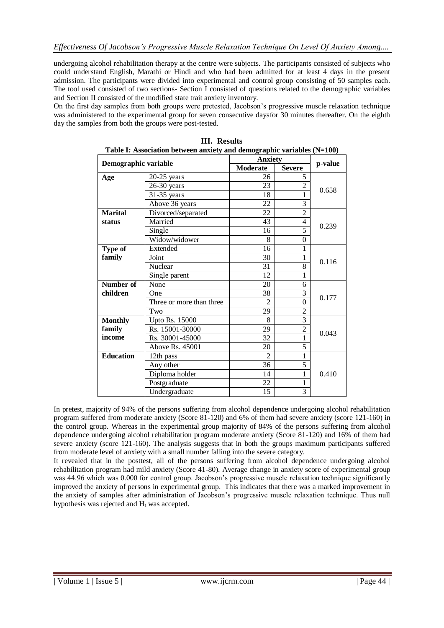undergoing alcohol rehabilitation therapy at the centre were subjects. The participants consisted of subjects who could understand English, Marathi or Hindi and who had been admitted for at least 4 days in the present admission. The participants were divided into experimental and control group consisting of 50 samples each. The tool used consisted of two sections- Section I consisted of questions related to the demographic variables and Section II consisted of the modified state trait anxiety inventory.

On the first day samples from both groups were pretested, Jacobson's progressive muscle relaxation technique was administered to the experimental group for seven consecutive days for 30 minutes thereafter. On the eighth day the samples from both the groups were post-tested.

| Table 1: Association between anxiety and demographic variables (N=100) |                          |                 |                |         |
|------------------------------------------------------------------------|--------------------------|-----------------|----------------|---------|
| Demographic variable                                                   |                          | <b>Anxiety</b>  |                | p-value |
|                                                                        |                          | Moderate        | <b>Severe</b>  |         |
| Age                                                                    | $20-25$ years            | 26              | 5              |         |
|                                                                        | 26-30 years              | 23              | 2              | 0.658   |
|                                                                        | 31-35 years              | 18              | 1              |         |
|                                                                        | Above 36 years           | 22              | $\overline{3}$ |         |
| <b>Marital</b>                                                         | Divorced/separated       | 22              | $\overline{c}$ | 0.239   |
| status                                                                 | Married                  | 43              | 4              |         |
|                                                                        | Single                   | 16              | $\overline{5}$ |         |
|                                                                        | Widow/widower            | 8               | $\overline{0}$ |         |
| Type of                                                                | Extended                 | 16              | 1              | 0.116   |
| family                                                                 | Joint                    | 30              | 1              |         |
|                                                                        | Nuclear                  | 31              | 8              |         |
|                                                                        | Single parent            | 12              | 1              |         |
| <b>Number of</b>                                                       | None                     | 20              | 6              | 0.177   |
| children                                                               | One                      | 38              | 3              |         |
|                                                                        | Three or more than three | $\overline{2}$  | 0              |         |
|                                                                        | Two                      | 29              | $\overline{2}$ |         |
| <b>Monthly</b>                                                         | Upto Rs. 15000           | 8               | 3              | 0.043   |
| family                                                                 | Rs. 15001-30000          | 29              | $\overline{2}$ |         |
| income                                                                 | Rs. 30001-45000          | 32              | 1              |         |
|                                                                        | Above Rs. 45001          | 20              | 5              |         |
| <b>Education</b>                                                       | 12th pass                | $\overline{2}$  | 1              | 0.410   |
|                                                                        | Any other                | $\overline{36}$ | 5              |         |
|                                                                        | Diploma holder           | 14              | 1              |         |
|                                                                        | Postgraduate             | 22              | 1              |         |
|                                                                        | Undergraduate            | 15              | 3              |         |

| <b>III.</b> Results                                                      |  |  |  |  |
|--------------------------------------------------------------------------|--|--|--|--|
| Table I: Association between anxiety and demographic variables $(N=100)$ |  |  |  |  |

In pretest, majority of 94% of the persons suffering from alcohol dependence undergoing alcohol rehabilitation program suffered from moderate anxiety (Score 81-120) and 6% of them had severe anxiety (score 121-160) in the control group. Whereas in the experimental group majority of 84% of the persons suffering from alcohol dependence undergoing alcohol rehabilitation program moderate anxiety (Score 81-120) and 16% of them had severe anxiety (score 121-160). The analysis suggests that in both the groups maximum participants suffered from moderate level of anxiety with a small number falling into the severe category.

It revealed that in the posttest, all of the persons suffering from alcohol dependence undergoing alcohol rehabilitation program had mild anxiety (Score 41-80). Average change in anxiety score of experimental group was 44.96 which was 0.000 for control group. Jacobson's progressive muscle relaxation technique significantly improved the anxiety of persons in experimental group. This indicates that there was a marked improvement in the anxiety of samples after administration of Jacobson's progressive muscle relaxation technique. Thus null hypothesis was rejected and  $H_1$  was accepted.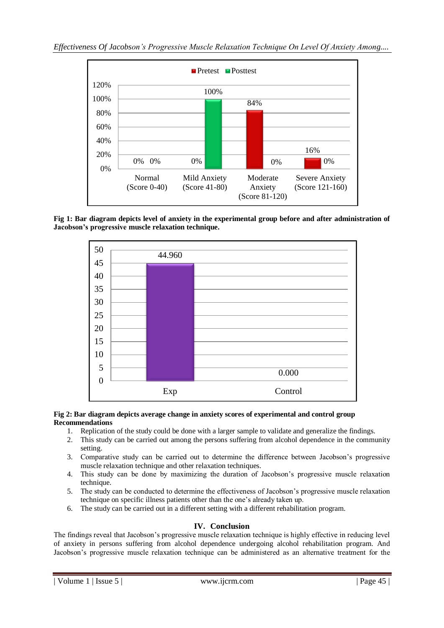

**Fig 1: Bar diagram depicts level of anxiety in the experimental group before and after administration of Jacobson's progressive muscle relaxation technique.**



### **Fig 2: Bar diagram depicts average change in anxiety scores of experimental and control group Recommendations**

- 1. Replication of the study could be done with a larger sample to validate and generalize the findings.
- 2. This study can be carried out among the persons suffering from alcohol dependence in the community setting.
- 3. Comparative study can be carried out to determine the difference between Jacobson's progressive muscle relaxation technique and other relaxation techniques.
- 4. This study can be done by maximizing the duration of Jacobson's progressive muscle relaxation technique.
- 5. The study can be conducted to determine the effectiveness of Jacobson's progressive muscle relaxation technique on specific illness patients other than the one's already taken up.
- 6. The study can be carried out in a different setting with a different rehabilitation program.

## **IV. Conclusion**

The findings reveal that Jacobson's progressive muscle relaxation technique is highly effective in reducing level of anxiety in persons suffering from alcohol dependence undergoing alcohol rehabilitation program. And Jacobson's progressive muscle relaxation technique can be administered as an alternative treatment for the